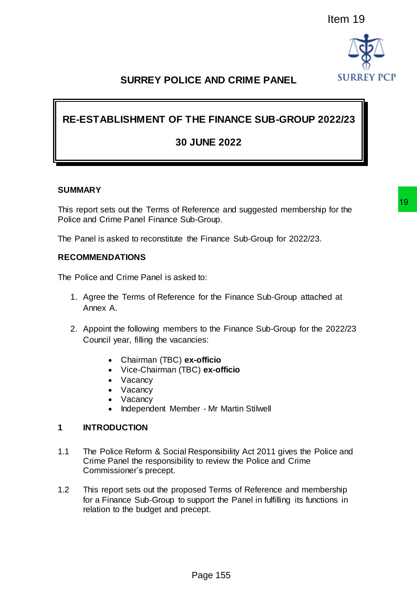

# **SURREY POLICE AND CRIME PANEL**

# **RE-ESTABLISHMENT OF THE FINANCE SUB-GROUP 2022/23**

## **30 JUNE 2022**

#### **SUMMARY**

This report sets out the Terms of Reference and suggested membership for the Police and Crime Panel Finance Sub-Group.

The Panel is asked to reconstitute the Finance Sub-Group for 2022/23.

#### **RECOMMENDATIONS**

The Police and Crime Panel is asked to:

- 1. Agree the Terms of Reference for the Finance Sub-Group attached at Annex A.
- 2. Appoint the following members to the Finance Sub-Group for the 2022/23 Council year, filling the vacancies:
	- Chairman (TBC) **ex-officio**
	- Vice-Chairman (TBC) **ex-officio**
	- Vacancy
	- Vacancy
	- Vacancy
	- Independent Member Mr Martin Stilwell

#### **1 INTRODUCTION**

- 1.1 The Police Reform & Social Responsibility Act 2011 gives the Police and Crime Panel the responsibility to review the Police and Crime Commissioner's precept. Item 19<br>
FE AND CRIME PANEL<br>
HE FINANCE SUB-GROUP 2022/23<br>
IUNE 2022<br>
IUNE 2022<br>
Ference and suggested membership for the<br>
19-Group.<br>
In Finance Sub-Group for 2022/23.<br>
Id to:<br>
to finance Sub-Group attached at<br>
Its to the
- 1.2 This report sets out the proposed Terms of Reference and membership for a Finance Sub-Group to support the Panel in fulfilling its functions in relation to the budget and precept.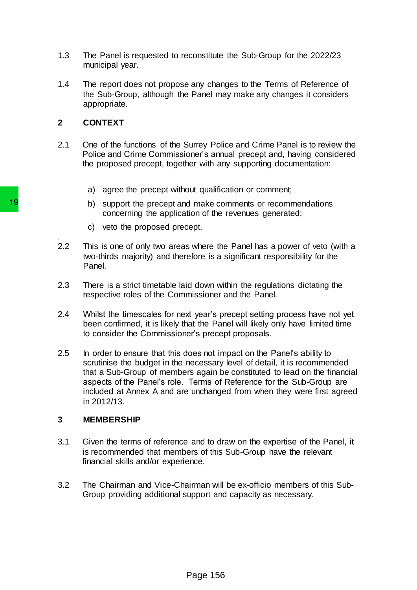- 1.3 The Panel is requested to reconstitute the Sub-Group for the 2022/23 municipal year.
- 1.4 The report does not propose any changes to the Terms of Reference of the Sub-Group, although the Panel may make any changes it considers appropriate.

#### **2 CONTEXT**

- 2.1 One of the functions of the Surrey Police and Crime Panel is to review the Police and Crime Commissioner's annual precept and, having considered the proposed precept, together with any supporting documentation:
	- a) agree the precept without qualification or comment;
	- b) support the precept and make comments or recommendations concerning the application of the revenues generated;
	- c) veto the proposed precept.
- . 2.2 This is one of only two areas where the Panel has a power of veto (with a two-thirds majority) and therefore is a significant responsibility for the Panel.
- 2.3 There is a strict timetable laid down within the regulations dictating the respective roles of the Commissioner and the Panel.
- 2.4 Whilst the timescales for next year's precept setting process have not yet been confirmed, it is likely that the Panel will likely only have limited time to consider the Commissioner's precept proposals.
- 2.5 In order to ensure that this does not impact on the Panel's ability to scrutinise the budget in the necessary level of detail, it is recommended that a Sub-Group of members again be constituted to lead on the financial aspects of the Panel's role. Terms of Reference for the Sub-Group are included at Annex A and are unchanged from when they were first agreed in 2012/13. b) support the precept and make concerning the application of the concerning the application of the proposed precept.<br>
2.2 This is one of only two areas where the two-thirds majority) and therefore is a two-thirds majority

#### **3 MEMBERSHIP**

- 3.1 Given the terms of reference and to draw on the expertise of the Panel, it is recommended that members of this Sub-Group have the relevant financial skills and/or experience.
- 3.2 The Chairman and Vice-Chairman will be ex-officio members of this Sub-Group providing additional support and capacity as necessary.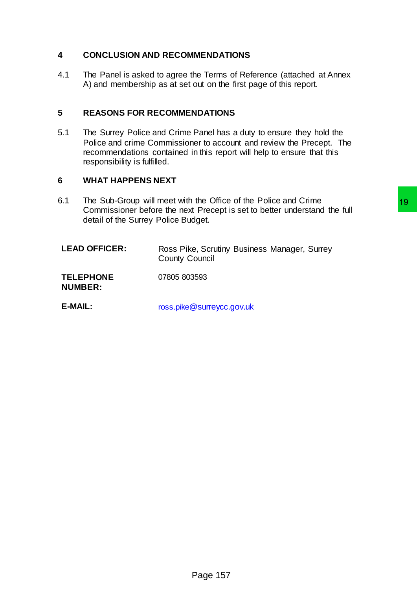### **4 CONCLUSION AND RECOMMENDATIONS**

4.1 The Panel is asked to agree the Terms of Reference (attached at Annex A) and membership as at set out on the first page of this report.

### **5 REASONS FOR RECOMMENDATIONS**

5.1 The Surrey Police and Crime Panel has a duty to ensure they hold the Police and crime Commissioner to account and review the Precept. The recommendations contained in this report will help to ensure that this responsibility is fulfilled.

### **6 WHAT HAPPENS NEXT**

- 6.1 The Sub-Group will meet with the Office of the Police and Crime Commissioner before the next Precept is set to better understand the full detail of the Surrey Police Budget. the Other of the Police and Crime<br>the Other is set to better understand the full<br>dget.<br>e, Scrutiny Business Manager, Surrey<br>Surrely.com.com<br>S593<br><u>@surreycc.gov.uk</u>
	- LEAD OFFICER: Ross Pike, Scrutiny Business Manager, Surrey County Council

**TELEPHONE**  07805 803593

**NUMBER:**

**E-MAIL:** ross.pike[@surreycc.gov.uk](mailto:ross.pike@surreycc.gov.uk)